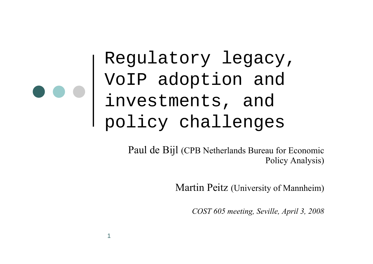Regulatory legacy, VoIP adoption and investments, and policy challenges

1

Paul de Bijl (CPB Netherlands Bureau for Economic Policy Analysis)

Martin Peitz (University of Mannheim)

*COST 605 meeting, Seville, April 3, 2008*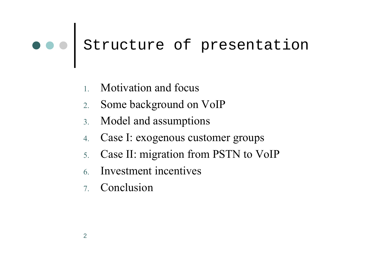# o o Structure of presentation

- 1.Motivation and focus
- 2.Some background on VoIP
- 3.Model and assumptions
- 4.Case I: exogenous customer groups
- 5.Case II: migration from PSTN to VoIP
- 6.Investment incentives
- 7. Conclusion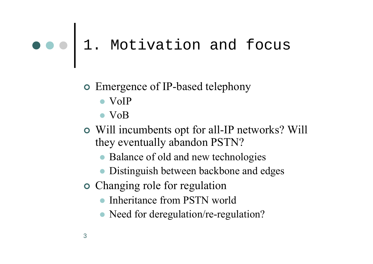### 1. Motivation and focus

#### **•** Emergence of IP-based telephony

- $\bullet$  VoIP
- $\bullet$  VoB
- | Will incumbents opt for all-IP networks? Will they eventually abandon PSTN?
	- Balance of old and new technologies
	- Distinguish between backbone and edges
- **•** Changing role for regulation
	- $\bullet$ Inheritance from PSTN world
	- Need for deregulation/re-regulation?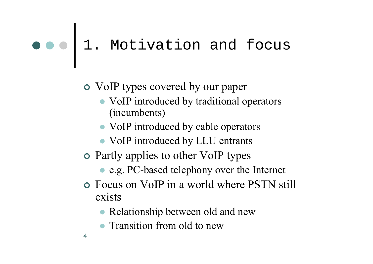### 1. Motivation and focus

#### | VoIP types covered by our paper

- VoIP introduced by traditional operators (incumbents)
- VoIP introduced by cable operators
- VoIP introduced by LLU entrants
- **•** Partly applies to other VoIP types
	- e.g. PC-based telephony over the Internet
- | Focus on VoIP in a world where PSTN still exists
	- Relationship between old and new
	- Transition from old to new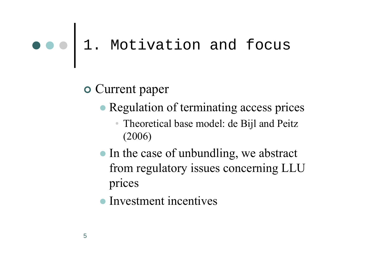### 1. Motivation and focus

 $\circ$  Current paper

- Regulation of terminating access prices
	- Theoretical base model: de Bijl and Peitz (2006)
- In the case of unbundling, we abstract from regulatory issues concerning LLU prices
- Investment incentives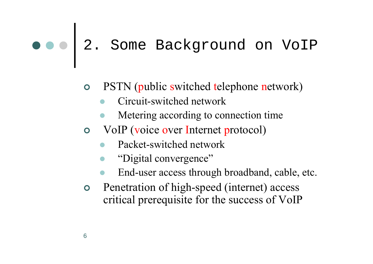# 2. Some Background on VoIP

- $\bullet$  PSTN (public switched telephone network)
	- $\bullet$ Circuit-switched network
	- $\bullet$ Metering according to connection time
- o VoIP (voice over Internet protocol)
	- $\bullet$ Packet-switched network
	- $\bullet$ "Digital convergence"
	- $\bullet$ End-user access through broadband, cable, etc.
- | Penetration of high-speed (internet) access critical prerequisite for the success of VoIP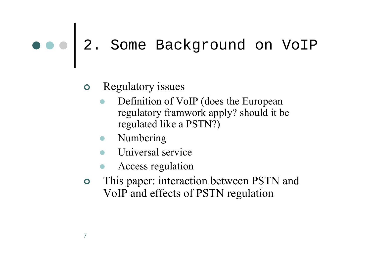# 2. Some Background on VoIP

#### $\bullet$ Regulatory issues

- $\bullet$  Definition of VoIP (does the European regulatory framwork apply? should it be regulated like a PSTN?)
- Numbering
- $\bullet$ Universal service
- $\bullet$ Access regulation
- $\bullet$  This paper: interaction between PSTN and VoIP and effects of PSTN regulation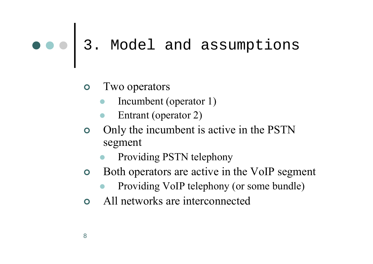#### $\bullet$ Two operators

- $\bullet$ Incumbent (operator 1)
- $\bullet$ Entrant (operator 2)
- $\bullet$  Only the incumbent is active in the PSTN segment
	- $\bullet$ Providing PSTN telephony
- $\bullet$  Both operators are active in the VoIP segment
	- $\bullet$ Providing VoIP telephony (or some bundle)
- $\Omega$ All networks are interconnected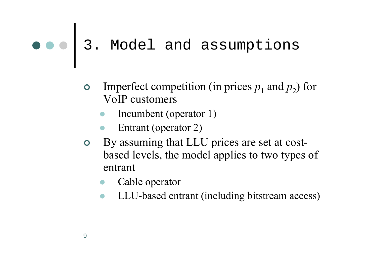- **•** Imperfect competition (in prices  $p_1$  and  $p_2$ ) for VoIP customers
	- $\bullet$ Incumbent (operator 1)
	- $\bullet$ Entrant (operator 2)
- | By assuming that LLU prices are set at costbased levels, the model applies to two types of entrant
	- $\bullet$ Cable operator
	- $\bullet$ LLU-based entrant (including bitstream access)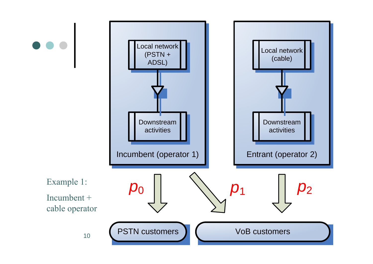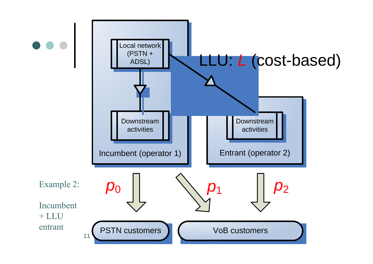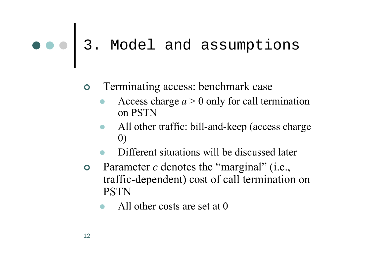- $\bullet$  Terminating access: benchmark case
	- $\bullet$  Access charge *<sup>a</sup>* > 0 only for call termination on PSTN
	- $\bullet$  All other traffic: bill-and-keep (access charge 0)
	- $\bullet$ Different situations will be discussed later
- $\bullet$ Parameter *c* denotes the "marginal" (i.e., traffic-dependent) cost of call termination on PSTN
	- $\bullet$ All other costs are set at 0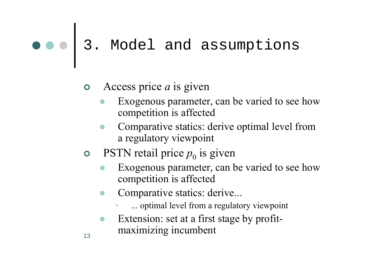#### | Access price *<sup>a</sup>* is given

- $\bullet$  Exogenous parameter, can be varied to see how competition is affected
- $\bullet$  Comparative statics: derive optimal level from a regulatory viewpoint
- **•** PSTN retail price  $p_0$  is given

13

- $\bullet$  Exogenous parameter, can be varied to see how competition is affected
- $\bullet$  Comparative statics: derive...
	- •... optimal level from a regulatory viewpoint
- $\bullet$  Extension: set at a first stage by profitmaximizing incumbent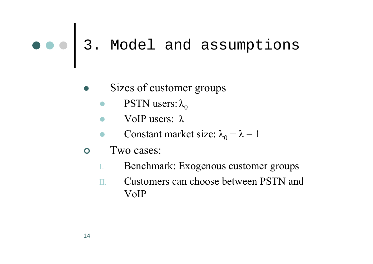- $\bullet$  Sizes of customer groups
	- $\bullet$ PSTN users:  $\lambda_0$
	- VoIP users:  $\lambda$
	- $\bullet$ **Constant market size:**  $\lambda_0 + \lambda = 1$
- $\bullet$  Two cases:
	- I.Benchmark: Exogenous customer groups
	- II. Customers can choose between PSTN and VoIP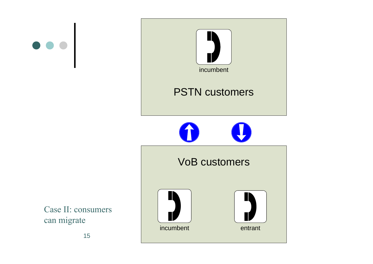



Case II: consumers can migrate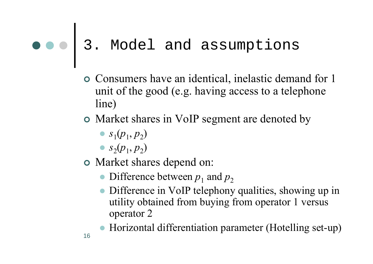- | Consumers have an identical, inelastic demand for 1 unit of the good (e.g. having access to a telephone line)
- **•** Market shares in VoIP segment are denoted by
	- $s_1(p_1, p_2)$
	- $s_2(p_1, p_2)$
- **o** Market shares depend on:
	- $\bullet$  Difference between  $p_1$  and  $p_2$
	- Difference in VoIP telephony qualities, showing up in utility obtained from buying from operator 1 versus operator 2
	- Horizontal differentiation parameter (Hotelling set-up)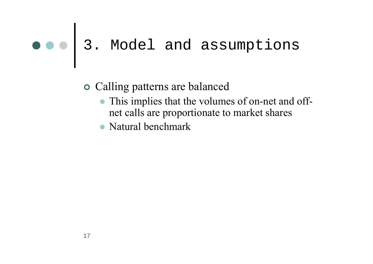#### **o** Calling patterns are balanced

- This implies that the volumes of on-net and offnet calls are proportionate to market shares
- Natural benchmark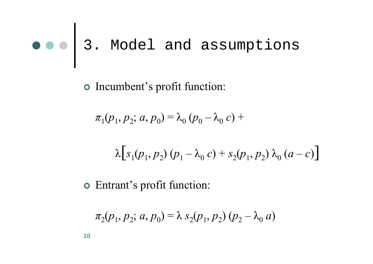| Incumbent's profit function:

$$
\pi_1(p_1, p_2; a, p_0) = \lambda_0 (p_0 - \lambda_0 c) +
$$

$$
\lambda [s_1(p_1, p_2) (p_1 - \lambda_0 c) + s_2(p_1, p_2) \lambda_0 (a - c)]
$$

| Entrant's profit function:

$$
\pi_2(p_1, p_2; a, p_0) = \lambda s_2(p_1, p_2) (p_2 - \lambda_0 a)
$$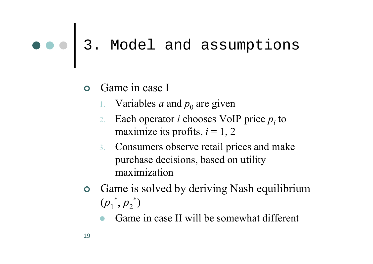- **O** Game in case I
	- 1. Variables *a* and  $p_0$  are given
	- 2. Each operator *<sup>i</sup>* chooses VoIP price *pi* to maximize its profits,  $i = 1, 2$
	- 3. Consumers observe retail prices and make purchase decisions, based on utility maximization
- | Game is solved by deriving Nash equilibrium  $(p_1^*, p_2^*)$ 
	- $\bullet$ Game in case II will be somewhat different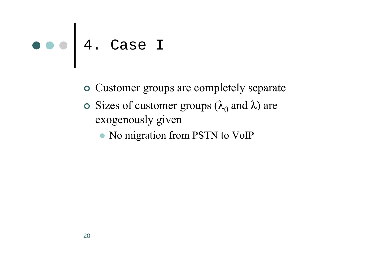- | Customer groups are completely separate
- **•** Sizes of customer groups ( $\lambda_0$  and  $\lambda$ ) are exogenously given
	- No migration from PSTN to VoIP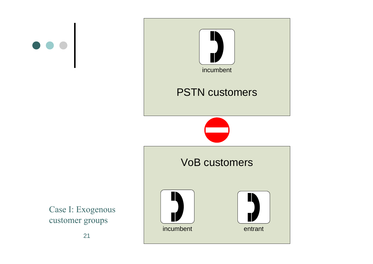



Case I: Exogenous customer groups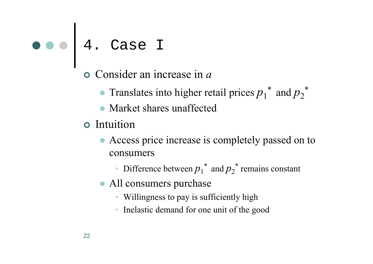- | Consider an increase in *<sup>a</sup>*
	- $\bullet$ **•** Translates into higher retail prices  $p_1^*$  and  $p_2^*$
	- Market shares unaffected
- **o** Intuition
	- Access price increase is completely passed on to consumers
		- •**Difference between**  $p_1^*$  **and**  $p_2^*$  **remains constant**
	- All consumers purchase
		- Willingness to pay is sufficiently high
		- Inelastic demand for one unit of the good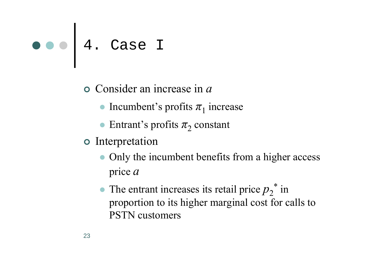| Consider an increase in *<sup>a</sup>*

- Incumbent's profits  $\pi_1$  increase
- **•** Entrant's profits  $\pi_2$  constant
- | Interpretation
	- $\bullet$  Only the incumbent benefits from a higher access price *<sup>a</sup>*
	- $\bullet$ • The entrant increases its retail price  $p_2^*$  in proportion to its higher marginal cost for calls to PSTN customers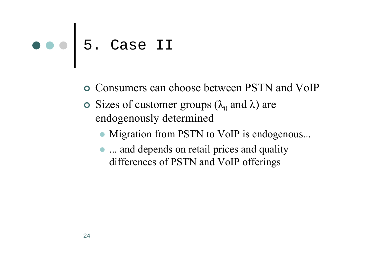- | Consumers can choose between PSTN and VoIP
- **•** Sizes of customer groups ( $\lambda_0$  and  $\lambda$ ) are endogenously determined
	- $\bullet$ Migration from PSTN to VoIP is endogenous...
	- ... and depends on retail prices and quality differences of PSTN and VoIP offerings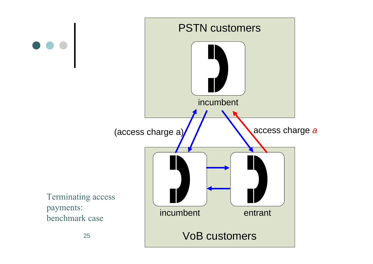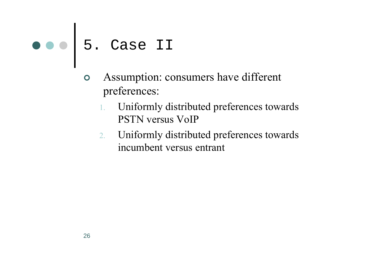- | Assumption: consumers have different preferences:
	- 1. Uniformly distributed preferences towards PSTN versus VoIP
	- 2. Uniformly distributed preferences towards incumbent versus entrant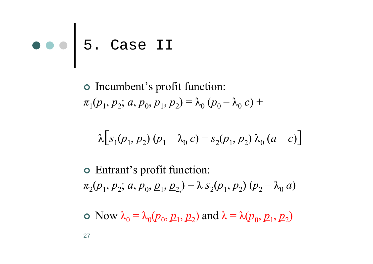| Incumbent's profit function:  $\pi_1(p_1, p_2; a, p_0, \underline{p}_1, \underline{p}_2) = \lambda_0 (p_0 - \lambda_0 c) +$ 

$$
\lambda [s_1(p_1, p_2) (p_1 - \lambda_0 c) + s_2(p_1, p_2) \lambda_0 (a - c)]
$$

| Entrant's profit function:  $\pi_2(p_1, p_2; a, p_0, p_1, p_2) = \lambda s_2(p_1, p_2) (p_2 - \lambda_0 a)$ 

 $\circ$  Now  $\lambda_0 = \lambda_0(p_0, p_1, p_2)$  and  $\lambda = \lambda(p_0, p_1, p_2)$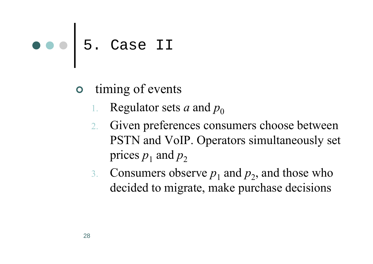- **o** timing of events
	- 1. Regulator sets *a* and  $p_0$
	- 2. Given preferences consumers choose between PSTN and VoIP. Operators simultaneously set prices  $p_1$  and  $p_2$
	- 3. Consumers observe  $p_1$  and  $p_2$ , and those who decided to migrate, make purchase decisions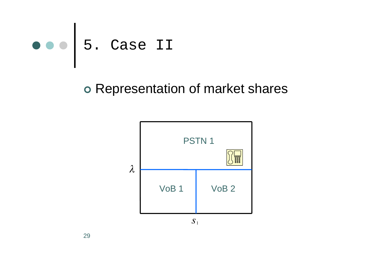

#### | Representation of market shares

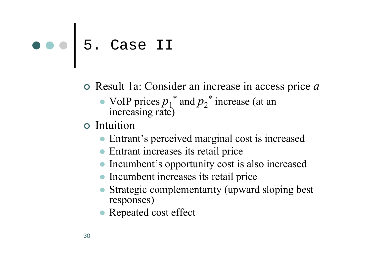- | Result 1a: Consider an increase in access price *<sup>a</sup>*
	- $\bullet$ • VoIP prices  $p_1^*$  and  $p_2^*$  increase (at an increasing rate)
- $\circ$  Intuition
	- Entrant's perceived marginal cost is increased
	- Entrant increases its retail price
	- Incumbent's opportunity cost is also increased
	- Incumbent increases its retail price
	- Strategic complementarity (upward sloping best responses)
	- Repeated cost effect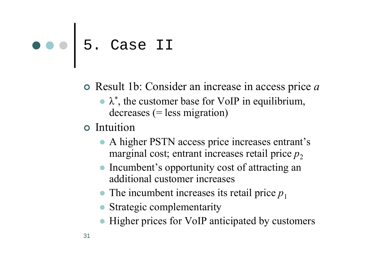- | Result 1b: Consider an increase in access price *<sup>a</sup>*
	- $\lambda^*$ , the customer base for VoIP in equilibrium,  $decreases (= less migration)$
- **o** Intuition
	- A higher PSTN access price increases entrant's marginal cost; entrant increases retail price  $p_2$
	- $\bullet$  Incumbent's opportunity cost of attracting an additional customer increases
	- $\bullet$  The incumbent increases its retail price  $p_1$
	- Strategic complementarity
	- Higher prices for VoIP anticipated by customers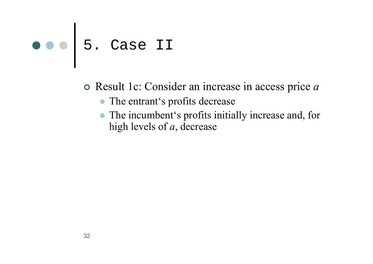| Result 1c: Consider an increase in access price *<sup>a</sup>*

- The entrant's profits decrease
- The incumbent's profits initially increase and, for high levels of *<sup>a</sup>*, decrease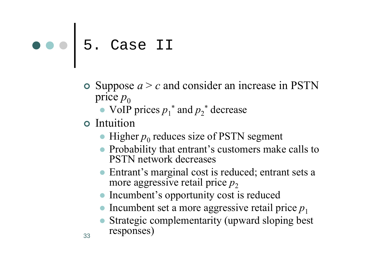- $\circ$  Suppose  $a > c$  and consider an increase in PSTN price  $p_0$ 
	- $\bullet$  VoIP prices  $p_1^*$  and  $p_2^*$  decrease
- **o** Intuition
	- $\bullet$  Higher  $p_0$  reduces size of PSTN segment
	- Probability that entrant's customers make calls to PSTN network decreases
	- Entrant's marginal cost is reduced; entrant sets a more aggressive retail price  $p_2$
	- $\bullet$ Incumbent's opportunity cost is reduced
	- Incumbent set a more aggressive retail price  $p_1$
	- Strategic complementarity (upward sloping best responses)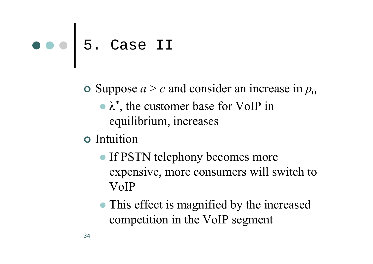$\bullet$  Suppose  $a > c$  and consider an increase in  $p_0$ 

- $\bullet \lambda^*$ , the customer base for VoIP in equilibrium, increases
- | Intuition
	- If PSTN telephony becomes more expensive, more consumers will switch to VoIP
	- This effect is magnified by the increased competition in the VoIP segment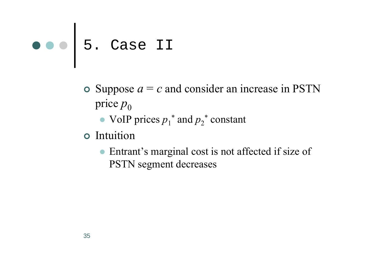- $\bullet$  Suppose  $a = c$  and consider an increase in PSTN price  $p_0$ 
	- $\bullet$  VoIP prices  $p_1^*$  and  $p_2^*$  constant
- $\circ$  Intuition
	- $\bullet$  Entrant's marginal cost is not affected if size of PSTN segment decreases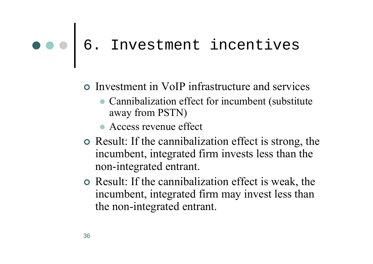#### 6. Investment incentives

- | Investment in VoIP infrastructure and services
	- Cannibalization effect for incumbent (substitute away from PSTN)
	- $\bullet$  Access revenue effect
- Result: If the cannibalization effect is strong, the incumbent, integrated firm invests less than the non-integrated entrant.
- | Result: If the cannibalization effect is weak, the incumbent, integrated firm may invest less than the non-integrated entrant.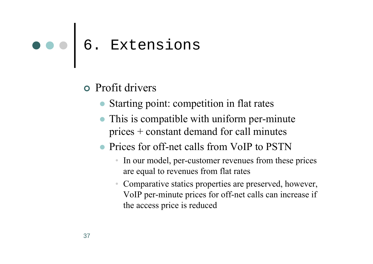### 6. Extensions

#### **•** Profit drivers

- Starting point: competition in flat rates
- $\bullet$  This is compatible with uniform per-minute prices + constant demand for call minutes
- $\bullet$  Prices for off-net calls from VoIP to PSTN
	- In our model, per-customer revenues from these prices are equal to revenues from flat rates
	- Comparative statics properties are preserved, however, VoIP per-minute prices for off-net calls can increase if the access price is reduced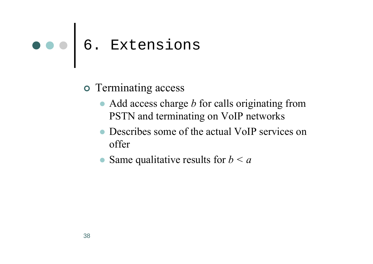### 6. Extensions

- **o** Terminating access
	- Add access charge *b* for calls originating from PSTN and terminating on VoIP networks
	- $\bullet$  Describes some of the actual VoIP services on offer
	- $\bullet$ Same qualitative results for *b < a*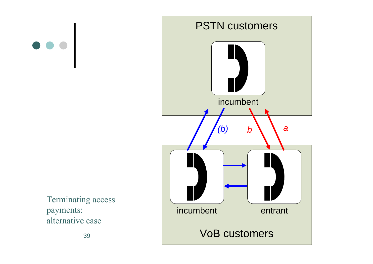



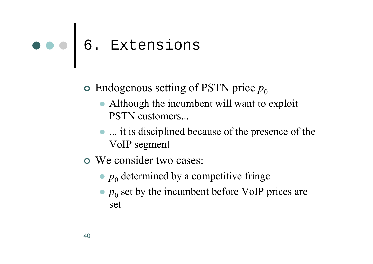### 6. Extensions

- $\circ$  Endogenous setting of PSTN price  $p_0$ 
	- Although the incumbent will want to exploit PSTN customers...
	- ... it is disciplined because of the presence of the VoIP segment
- **o** We consider two cases:
	- $\bullet$   $p_0$  determined by a competitive fringe
	- $\bullet$   $p_0$  set by the incumbent before VoIP prices are set